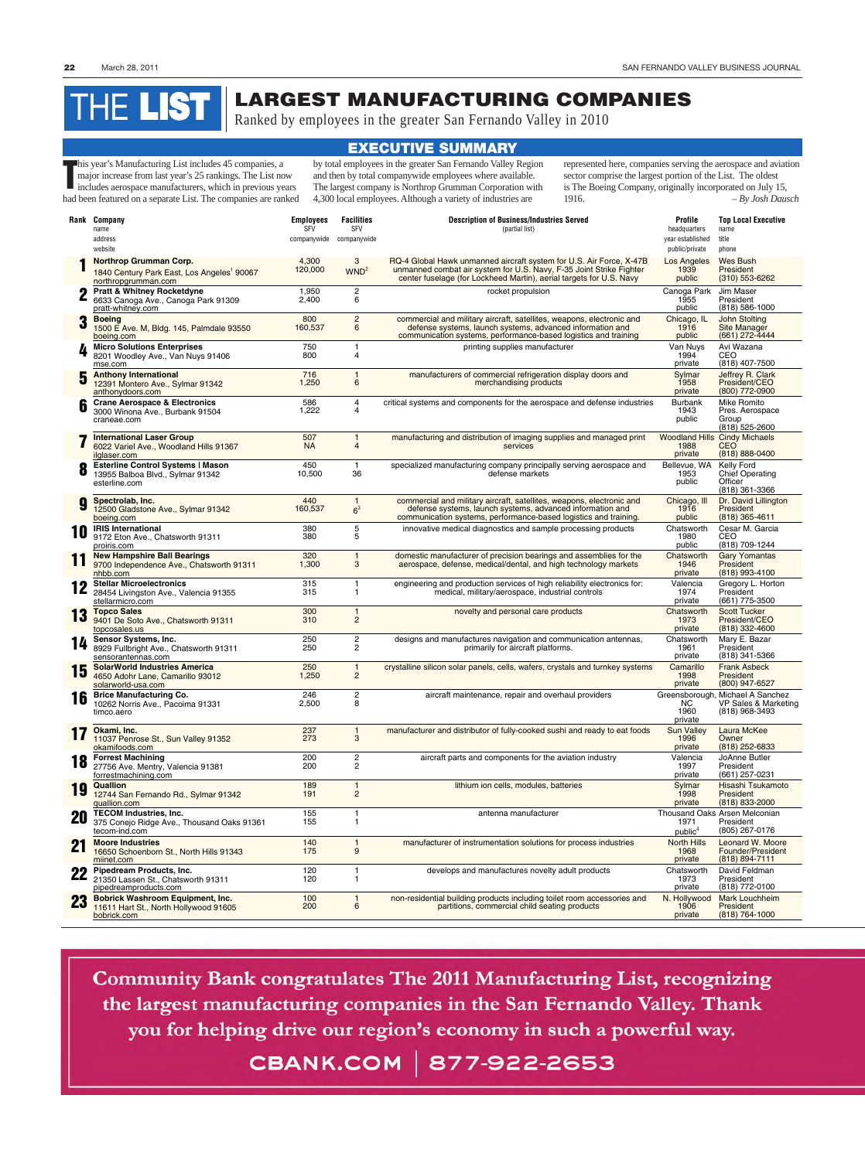## **LARGEST MANUFACTURING COMPANIES**

Ranked by employees in the greater San Fernando Valley in 2010

**This year's Manufacturing List includes 45 companies, a major increase from last year's 25 rankings. The List no includes aerospace manufacturers, which in previous year.** major increase from last year's 25 rankings. The List now includes aerospace manufacturers, which in previous years had been featured on a separate List. The companies are ranked

by total employees in the greater San Fernando Valley Region and then by total companywide employees where available. Sector comprise the sector comprise that  $\frac{1}{2}$  and then by total companywide employees where available. The largest company is Northrop Grumman Corporation with companies are ranked 4,300 local employees. Although a variety of industries are 1916.

represented here, companies serving the aerospace and aviation sector comprise the largest portion of the List. The oldest is The Boeing Company, originally incorporated on July 15, 1916. *– By Josh Dausch*

## **EXECUTIVE SUMMARY**

## THE **LIST**

|            | Rank Company<br>name<br>address<br>website                                                              | <b>Employees</b><br><b>SFV</b><br>companywide companywide | <b>Facilities</b><br><b>SFV</b> | <b>Description of Business/Industries Served</b><br>(partial list)                                                                                                                                                | Profile<br>headquarters<br>year established<br>public/private | <b>Top Local Executive</b><br>name<br>title<br>phone                       |
|------------|---------------------------------------------------------------------------------------------------------|-----------------------------------------------------------|---------------------------------|-------------------------------------------------------------------------------------------------------------------------------------------------------------------------------------------------------------------|---------------------------------------------------------------|----------------------------------------------------------------------------|
|            | Northrop Grumman Corp.<br>1840 Century Park East, Los Angeles <sup>1</sup> 90067<br>northropgrumman.com | 4,300<br>120,000                                          | 3<br>WND <sup>2</sup>           | RQ-4 Global Hawk unmanned aircraft system for U.S. Air Force, X-47B<br>unmanned combat air system for U.S. Navy, F-35 Joint Strike Fighter<br>center fuselage (for Lockheed Martin), aerial targets for U.S. Navy | Los Angeles<br>1939<br>public                                 | Wes Bush<br>President<br>(310) 553-6262                                    |
|            | <b>Pratt &amp; Whitney Rocketdyne</b><br>6633 Canoga Ave., Canoga Park 91309<br>pratt-whitney.com       | 1,950<br>2,400                                            | 2<br>6                          | rocket propulsion                                                                                                                                                                                                 | Canoga Park<br>1955<br>public                                 | Jim Maser<br>President<br>(818) 586-1000                                   |
| 3          | <b>Boeing</b><br>1500 E Ave. M, Bldg. 145, Palmdale 93550<br>boeing.com                                 | 800<br>160,537                                            | $\overline{\mathbf{c}}$<br>6    | commercial and military aircraft, satellites, weapons, electronic and<br>defense systems, launch systems, advanced information and<br>communication systems, performance-based logistics and training             | Chicago, IL<br>1916<br>public                                 | <b>John Stolting</b><br>Site Manager<br>(661) 272-4444                     |
|            | <b>Micro Solutions Enterprises</b><br>8201 Woodley Ave., Van Nuys 91406<br>mse.com                      | 750<br>800                                                | 1<br>4                          | printing supplies manufacturer                                                                                                                                                                                    | Van Nuys<br>1994<br>private                                   | Avi Wazana<br>CEO<br>(818) 407-7500                                        |
| 5          | <b>Anthony International</b><br>12391 Montero Ave., Sylmar 91342<br>anthonydoors.com                    | 716<br>1,250                                              | 1<br>6                          | manufacturers of commercial refrigeration display doors and<br>merchandising products                                                                                                                             | Sylmar<br>1958<br>private                                     | Jeffrey R. Clark<br>President/CEO<br>(800) 772-0900                        |
|            | <b>Crane Aerospace &amp; Electronics</b><br>3000 Winona Ave., Burbank 91504<br>craneae.com              | 586<br>1,222                                              | 4<br>4                          | critical systems and components for the aerospace and defense industries                                                                                                                                          | <b>Burbank</b><br>1943<br>public                              | Mike Romito<br>Pres. Aerospace<br>Group<br>$(818)$ 525-2600                |
|            | <b>International Laser Group</b><br>6022 Variel Ave., Woodland Hills 91367<br>ilglaser.com              | 507<br>NA                                                 | $\mathbf{1}$<br>4               | manufacturing and distribution of imaging supplies and managed print<br>services                                                                                                                                  | 1988<br>private                                               | <b>Woodland Hills Cindy Michaels</b><br><b>CEO</b><br>(818) 888-0400       |
|            | Esterline Control Systems   Mason<br>13955 Balboa Blvd., Sylmar 91342<br>esterline.com                  | 450<br>10,500                                             | $\mathbf{1}$<br>36              | specialized manufacturing company principally serving aerospace and<br>defense markets                                                                                                                            | Bellevue, WA<br>1953<br>public                                | <b>Kelly Ford</b><br>Chief Operating<br>Officer<br>(818) 361-3366          |
| g          | Spectrolab, Inc.<br>12500 Gladstone Ave., Sylmar 91342<br>boeing.com                                    | 440<br>160,537                                            | $\mathbf{1}$<br>6 <sup>3</sup>  | commercial and military aircraft, satellites, weapons, electronic and<br>defense systems, launch systems, advanced information and<br>communication systems, performance-based logistics and training.            | Chicago, Ill<br>1916<br>public                                | Dr. David Lillington<br>President<br>$(818)$ 365-4611                      |
| 10         | <b>IRIS International</b><br>9172 Eton Ave., Chatsworth 91311<br>proiris.com                            | 380<br>380                                                | 5<br>5                          | innovative medical diagnostics and sample processing products                                                                                                                                                     | Chatsworth<br>1980<br>public                                  | Cesar M. Garcia<br>CEO<br>(818) 709-1244                                   |
| 11         | <b>New Hampshire Ball Bearings</b><br>9700 Independence Ave., Chatsworth 91311<br>nhbb.com              | 320<br>1,300                                              | $\mathbf{1}$<br>3               | domestic manufacturer of precision bearings and assemblies for the<br>aerospace, defense, medical/dental, and high technology markets                                                                             | Chatsworth<br>1946<br>private                                 | <b>Gary Yomantas</b><br>President<br>(818) 993-4100                        |
|            | <b>Stellar Microelectronics</b><br>28454 Livingston Ave., Valencia 91355<br>stellarmicro.com            | 315<br>315                                                | 1<br>1                          | engineering and production services of high reliability electronics for:<br>medical, military/aerospace, industrial controls                                                                                      | Valencia<br>1974<br>private                                   | Gregory L. Horton<br>President<br>(661) 775-3500                           |
| 13         | <b>Topco Sales</b><br>9401 De Soto Ave., Chatsworth 91311<br>topcosales.us                              | 300<br>310                                                | $\mathbf{1}$<br>$\overline{2}$  | novelty and personal care products                                                                                                                                                                                | Chatsworth<br>1973<br>private                                 | <b>Scott Tucker</b><br>President/CEO<br>(818) 332-4600                     |
| 14         | Sensor Systems, Inc.<br>8929 Fullbright Ave., Chatsworth 91311<br>sensorantennas.com                    | 250<br>250                                                | 2<br>2                          | designs and manufactures navigation and communication antennas,<br>primarily for aircraft platforms.                                                                                                              | Chatsworth<br>1961<br>private                                 | Mary E. Bazar<br>President<br>(818) 341-5366                               |
| 1 6<br>I U | <b>SolarWorld Industries America</b><br>4650 Adohr Lane, Camarillo 93012<br>solarworld-usa.com          | 250<br>1,250                                              | $\mathbf{1}$<br>2               | crystalline silicon solar panels, cells, wafers, crystals and turnkey systems                                                                                                                                     | Camarillo<br>1998<br>private                                  | <b>Frank Asbeck</b><br>President<br>(800) 947-6527                         |
| 16         | <b>Brice Manufacturing Co.</b><br>10262 Norris Ave., Pacoima 91331<br>timco.aero                        | 246<br>2,500                                              | 2<br>8                          | aircraft maintenance, repair and overhaul providers                                                                                                                                                               | NC.<br>1960<br>private                                        | Greensborough, Michael A Sanchez<br>VP Sales & Marketing<br>(818) 968-3493 |
|            | Okami, Inc.<br>11037 Penrose St., Sun Valley 91352<br>okamifoods.com                                    | 237<br>273                                                | $\mathbf{1}$<br>3               | manufacturer and distributor of fully-cooked sushi and ready to eat foods                                                                                                                                         | <b>Sun Valley</b><br>1996<br>private                          | Laura McKee<br>Owner<br>(818) 252-6833                                     |
| 18         | <b>Forrest Machining</b><br>27756 Ave. Mentry, Valencia 91381<br>forrestmachining.com                   | 200<br>200                                                | 2<br>$\overline{c}$             | aircraft parts and components for the aviation industry                                                                                                                                                           | Valencia<br>1997<br>private                                   | JoAnne Butler<br>President<br>(661) 257-0231                               |
| 19         | <b>Quallion</b><br>12744 San Fernando Rd., Sylmar 91342<br>quallion.com                                 | 189<br>191                                                | $\mathbf{1}$<br>$\overline{2}$  | lithium ion cells, modules, batteries                                                                                                                                                                             | Sylmar<br>1998<br>private                                     | Hisashi Tsukamoto<br>President<br>(818) 833-2000                           |
| 20         | <b>TECOM Industries, Inc.</b><br>375 Conejo Ridge Ave., Thousand Oaks 91361<br>tecom-ind.com            | 155<br>155                                                | 1<br>1.                         | antenna manufacturer                                                                                                                                                                                              | 1971<br>public <sup>4</sup>                                   | <b>Thousand Oaks Arsen Melconian</b><br>President<br>(805) 267-0176        |
|            | <b>Moore Industries</b><br>16650 Schoenborn St., North Hills 91343<br>miinet.com                        | 140<br>175                                                | $\mathbf{1}$<br>9               | manufacturer of instrumentation solutions for process industries                                                                                                                                                  | North Hills<br>1968<br>private                                | Leonard W. Moore<br>Founder/President<br>(818) 894-7111                    |
| LL         | Pipedream Products, Inc.<br>21350 Lassen St., Chatsworth 91311<br>pipedreamproducts.com                 | 120<br>120                                                | 1<br>1                          | develops and manufactures novelty adult products                                                                                                                                                                  | Chatsworth<br>1973<br>private                                 | David Feldman<br>President<br>(818) 772-0100                               |
| 23         | <b>Bobrick Washroom Equipment, Inc.</b><br>11611 Hart St., North Hollywood 91605<br>bobrick.com         | 100<br>200                                                | $\mathbf{1}$<br>6               | non-residential building products including toilet room accessories and<br>partitions, commercial child seating products                                                                                          | N. Hollywood<br>1906<br>private                               | <b>Mark Louchheim</b><br>President<br>(818) 764-1000                       |
|            |                                                                                                         |                                                           |                                 |                                                                                                                                                                                                                   |                                                               |                                                                            |

 $\rho$  were one.  $p$  industrial equipment on  $p$  and  $\mathbf{X}$  and  $\mathbf{X}$  is the  $\mathbf{X}$  industrial equipment of  $\mathbf{X}$ Community Dank congratulates The 2011 Manufacturing List, recognizing 7740 Lemona Ave., Van Nuys 91409  $i$ industrial  $\overline{125}$  industrial  $\overline{125}$  industrial  $\overline{125}$ private  $k_{\rm max}$  1. the largest manufacturing companies in the ban I critainto valiey. Thank w. Expire Ave., Burbank 91504  $\epsilon$  our region's economy in such a nowerful way you are and pany wave our region of coolidary in outer why were may. qualstar.com **67** 1 M | 6//-JCC-CODJ public (805) 583-7744<br>December 1983-7744<br>Senator 1983-7744

25 **Power-One Inc.**

96

1

alternate current (AC)/direct current (DC) power supplies that convert AC

Camarillo

Richard Thompson

30 **Malabar International**

50

1

aircraft maintenance and support equipment including aircraft jacks,

Simi Valley

John E. Carroll